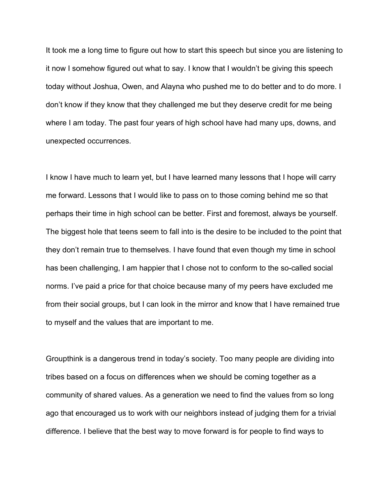It took me a long time to figure out how to start this speech but since you are listening to it now I somehow figured out what to say. I know that I wouldn't be giving this speech today without Joshua, Owen, and Alayna who pushed me to do better and to do more. I don't know if they know that they challenged me but they deserve credit for me being where I am today. The past four years of high school have had many ups, downs, and unexpected occurrences.

I know I have much to learn yet, but I have learned many lessons that I hope will carry me forward. Lessons that I would like to pass on to those coming behind me so that perhaps their time in high school can be better. First and foremost, always be yourself. The biggest hole that teens seem to fall into is the desire to be included to the point that they don't remain true to themselves. I have found that even though my time in school has been challenging, I am happier that I chose not to conform to the so-called social norms. I've paid a price for that choice because many of my peers have excluded me from their social groups, but I can look in the mirror and know that I have remained true to myself and the values that are important to me.

Groupthink is a dangerous trend in today's society. Too many people are dividing into tribes based on a focus on differences when we should be coming together as a community of shared values. As a generation we need to find the values from so long ago that encouraged us to work with our neighbors instead of judging them for a trivial difference. I believe that the best way to move forward is for people to find ways to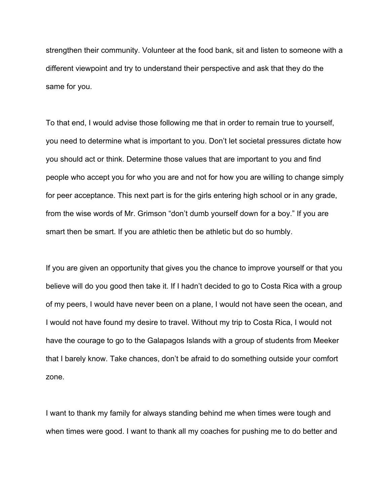strengthen their community. Volunteer at the food bank, sit and listen to someone with a different viewpoint and try to understand their perspective and ask that they do the same for you.

To that end, I would advise those following me that in order to remain true to yourself, you need to determine what is important to you. Don't let societal pressures dictate how you should act or think. Determine those values that are important to you and find people who accept you for who you are and not for how you are willing to change simply for peer acceptance. This next part is for the girls entering high school or in any grade, from the wise words of Mr. Grimson "don't dumb yourself down for a boy." If you are smart then be smart. If you are athletic then be athletic but do so humbly.

If you are given an opportunity that gives you the chance to improve yourself or that you believe will do you good then take it. If I hadn't decided to go to Costa Rica with a group of my peers, I would have never been on a plane, I would not have seen the ocean, and I would not have found my desire to travel. Without my trip to Costa Rica, I would not have the courage to go to the Galapagos Islands with a group of students from Meeker that I barely know. Take chances, don't be afraid to do something outside your comfort zone.

I want to thank my family for always standing behind me when times were tough and when times were good. I want to thank all my coaches for pushing me to do better and